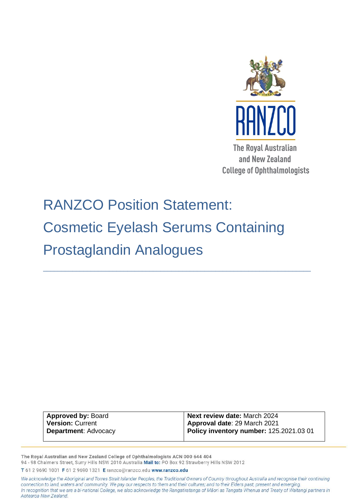

# RANZCO Position Statement: Cosmetic Eyelash Serums Containing Prostaglandin Analogues

\_\_\_\_\_\_\_\_\_\_\_\_\_\_\_\_\_\_\_\_\_\_\_\_\_\_\_\_\_\_\_\_\_\_\_\_\_\_\_\_\_\_\_\_\_\_\_\_\_\_\_\_\_\_\_\_\_\_\_\_\_\_\_\_\_\_\_\_\_\_\_\_\_

| <b>Approved by: Board</b>   | Next review date: March 2024                   |
|-----------------------------|------------------------------------------------|
| <b>Version: Current</b>     | Approval date: 29 March 2021                   |
| <b>Department: Advocacy</b> | <b>Policy inventory number: 125.2021.03 01</b> |
|                             |                                                |

The Royal Australian and New Zealand College of Ophthalmologists ACN 000 644 404 94 - 98 Chalmers Street, Surry Hills NSW 2010 Australia Mail to: PO Box 92 Strawberry Hills NSW 2012

T 61 2 9690 1001 F 61 2 9690 1321 E ranzco@ranzco.edu www.ranzco.edu

We acknowledge the Aboriginal and Torres Strait Islander Peoples, the Traditional Owners of Country throughout Australia and recognise their continuing connection to land, waters and community. We pay our respects to them and their cultures; and to their Elders past, present and emerging. In recognition that we are a bi-national College, we also acknowledge the Rangatiratanga of Māori as Tangata Whenua and Treaty of Waitangi partners in Aotearoa New Zealand.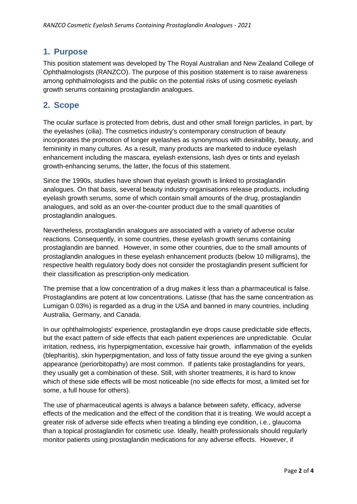### **1. Purpose**

This position statement was developed by The Royal Australian and New Zealand College of Ophthalmologists (RANZCO). The purpose of this position statement is to raise awareness among ophthalmologists and the public on the potential risks of using cosmetic eyelash growth serums containing prostaglandin analogues.

## **2. Scope**

The ocular surface is protected from debris, dust and other small foreign particles, in part, by the eyelashes (cilia). The cosmetics industry's contemporary construction of beauty incorporates the promotion of longer eyelashes as synonymous with desirability, beauty, and femininity in many cultures. As a result, many products are marketed to induce eyelash enhancement including the mascara, eyelash extensions, lash dyes or tints and eyelash growth-enhancing serums, the latter, the focus of this statement.

Since the 1990s, studies have shown that eyelash growth is linked to prostaglandin analogues. On that basis, several beauty industry organisations release products, including eyelash growth serums, some of which contain small amounts of the drug, prostaglandin analogues, and sold as an over-the-counter product due to the small quantities of prostaglandin analogues.

Nevertheless, prostaglandin analogues are associated with a variety of adverse ocular reactions. Consequently, in some countries, these eyelash growth serums containing prostaglandin are banned. However, in some other countries, due to the small amounts of prostaglandin analogues in these eyelash enhancement products (below 10 milligrams), the respective health regulatory body does not consider the prostaglandin present sufficient for their classification as prescription-only medication.

The premise that a low concentration of a drug makes it less than a pharmaceutical is false. Prostaglandins are potent at low concentrations. Latisse (that has the same concentration as Lumigan 0.03%) is regarded as a drug in the USA and banned in many countries, including Australia, Germany, and Canada.

In our ophthalmologists' experience, prostaglandin eye drops cause predictable side effects, but the exact pattern of side effects that each patient experiences are unpredictable. Ocular irritation, redness, iris hyperpigmentation, excessive hair growth, inflammation of the eyelids (blepharitis), skin hyperpigmentation, and loss of fatty tissue around the eye giving a sunken appearance (periorbitopathy) are most common. If patients take prostaglandins for years, they usually get a combination of these. Still, with shorter treatments, it is hard to know which of these side effects will be most noticeable (no side effects for most, a limited set for some, a full house for others).

The use of pharmaceutical agents is always a balance between safety, efficacy, adverse effects of the medication and the effect of the condition that it is treating. We would accept a greater risk of adverse side effects when treating a blinding eye condition, i.e., glaucoma than a topical prostaglandin for cosmetic use. Ideally, health professionals should regularly monitor patients using prostaglandin medications for any adverse effects. However, if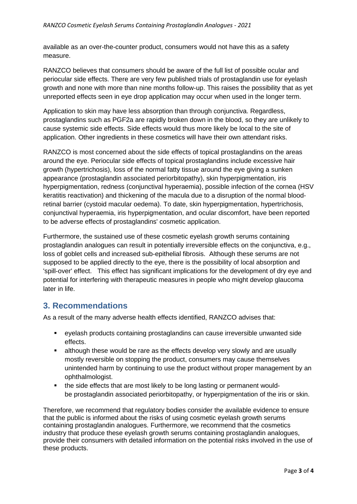available as an over-the-counter product, consumers would not have this as a safety measure.

RANZCO believes that consumers should be aware of the full list of possible ocular and periocular side effects. There are very few published trials of prostaglandin use for eyelash growth and none with more than nine months follow-up. This raises the possibility that as yet unreported effects seen in eye drop application may occur when used in the longer term.

Application to skin may have less absorption than through conjunctiva. Regardless, prostaglandins such as PGF2a are rapidly broken down in the blood, so they are unlikely to cause systemic side effects. Side effects would thus more likely be local to the site of application. Other ingredients in these cosmetics will have their own attendant risks.

RANZCO is most concerned about the side effects of topical prostaglandins on the areas around the eye. Periocular side effects of topical prostaglandins include excessive hair growth (hypertrichosis), loss of the normal fatty tissue around the eye giving a sunken appearance (prostaglandin associated periorbitopathy), skin hyperpigmentation, iris hyperpigmentation, redness (conjunctival hyperaemia), possible infection of the cornea (HSV keratitis reactivation) and thickening of the macula due to a disruption of the normal bloodretinal barrier (cystoid macular oedema). To date, skin hyperpigmentation, hypertrichosis, conjunctival hyperaemia, iris hyperpigmentation, and ocular discomfort, have been reported to be adverse effects of prostaglandins' cosmetic application.

Furthermore, the sustained use of these cosmetic eyelash growth serums containing prostaglandin analogues can result in potentially irreversible effects on the conjunctiva, e.g., loss of goblet cells and increased sub-epithelial fibrosis. Although these serums are not supposed to be applied directly to the eye, there is the possibility of local absorption and 'spill-over' effect. This effect has significant implications for the development of dry eye and potential for interfering with therapeutic measures in people who might develop glaucoma later in life.

#### **3. Recommendations**

As a result of the many adverse health effects identified, RANZCO advises that:

- eyelash products containing prostaglandins can cause irreversible unwanted side effects.
- although these would be rare as the effects develop very slowly and are usually mostly reversible on stopping the product, consumers may cause themselves unintended harm by continuing to use the product without proper management by an ophthalmologist.
- the side effects that are most likely to be long lasting or permanent wouldbe prostaglandin associated periorbitopathy, or hyperpigmentation of the iris or skin.

Therefore, we recommend that regulatory bodies consider the available evidence to ensure that the public is informed about the risks of using cosmetic eyelash growth serums containing prostaglandin analogues. Furthermore, we recommend that the cosmetics industry that produce these eyelash growth serums containing prostaglandin analogues, provide their consumers with detailed information on the potential risks involved in the use of these products.